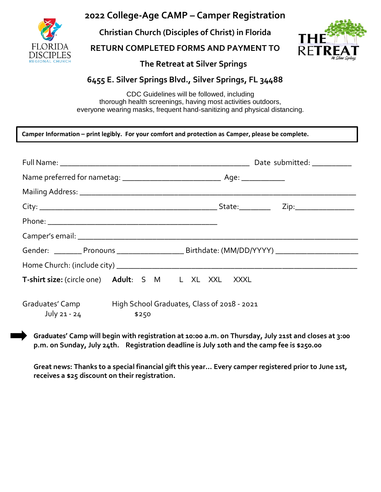

## **2022 College-Age CAMP – Camper Registration**

**Christian Church (Disciples of Christ) in Florida**

**RETURN COMPLETED FORMS AND PAYMENT TO**



 **The Retreat at Silver Springs**

## **6455 E. Silver Springs Blvd., Silver Springs, FL 34488**

CDC Guidelines will be followed, including thorough health screenings, having most activities outdoors, everyone wearing masks, frequent hand-sanitizing and physical distancing.

| Camper Information – print legibly. For your comfort and protection as Camper, please be complete. |  |  |  |
|----------------------------------------------------------------------------------------------------|--|--|--|
|----------------------------------------------------------------------------------------------------|--|--|--|

|                                 | Gender: __________ Pronouns _________________________ Birthdate: (MM/DD/YYYY) _____________________ |  |
|---------------------------------|-----------------------------------------------------------------------------------------------------|--|
|                                 |                                                                                                     |  |
|                                 | T-shirt size: (circle one) Adult: S M L XL XXL XXXL                                                 |  |
| Graduates' Camp<br>July 21 - 24 | High School Graduates, Class of 2018 - 2021<br>\$250                                                |  |

**Graduates' Camp will begin with registration at 10:00 a.m. on Thursday, July 21st and closes at 3:00 p.m. on Sunday, July 24th. Registration deadline is July 10th and the camp fee is \$250.00**

**Great news: Thanks to a special financial gift this year… Every camper registered prior to June 1st, receives a \$25 discount on their registration.**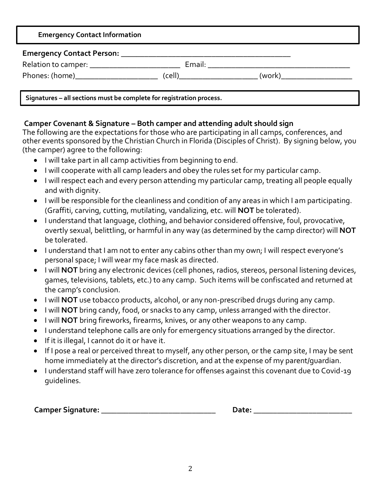| <b>Emergency Contact Information</b>                                 |  |  |
|----------------------------------------------------------------------|--|--|
|                                                                      |  |  |
| Relation to camper: ____________________________                     |  |  |
| Phones: (home) (cell) (cell) (work)                                  |  |  |
| Signatures - all sections must be complete for registration process. |  |  |

## **Camper Covenant & Signature – Both camper and attending adult should sign**

The following are the expectations for those who are participating in all camps, conferences, and other events sponsored by the Christian Church in Florida (Disciples of Christ). By signing below, you (the camper) agree to the following:

- I will take part in all camp activities from beginning to end.
- I will cooperate with all camp leaders and obey the rules set for my particular camp.
- I will respect each and every person attending my particular camp, treating all people equally and with dignity.
- I will be responsible for the cleanliness and condition of any areas in which I am participating. (Graffiti, carving, cutting, mutilating, vandalizing, etc. will **NOT** be tolerated).
- I understand that language, clothing, and behavior considered offensive, foul, provocative, overtly sexual, belittling, or harmful in any way (as determined by the camp director) will **NOT** be tolerated.
- I understand that I am not to enter any cabins other than my own; I will respect everyone's personal space; I will wear my face mask as directed.
- I will **NOT** bring any electronic devices (cell phones, radios, stereos, personal listening devices, games, televisions, tablets, etc.) to any camp. Such items will be confiscated and returned at the camp's conclusion.
- I will **NOT** use tobacco products, alcohol, or any non-prescribed drugs during any camp.
- I will **NOT** bring candy, food, or snacks to any camp, unless arranged with the director.
- I will **NOT** bring fireworks, firearms, knives, or any other weapons to any camp.
- I understand telephone calls are only for emergency situations arranged by the director.
- If it is illegal, I cannot do it or have it.
- If I pose a real or perceived threat to myself, any other person, or the camp site, I may be sent home immediately at the director's discretion, and at the expense of my parent/guardian.
- I understand staff will have zero tolerance for offenses against this covenant due to Covid-19 guidelines.

 **Camper Signature: \_\_\_\_\_\_\_\_\_\_\_\_\_\_\_\_\_\_\_\_\_\_\_\_\_\_\_\_\_ Date: \_\_\_\_\_\_\_\_\_\_\_\_\_\_\_\_\_\_\_\_\_\_\_\_\_**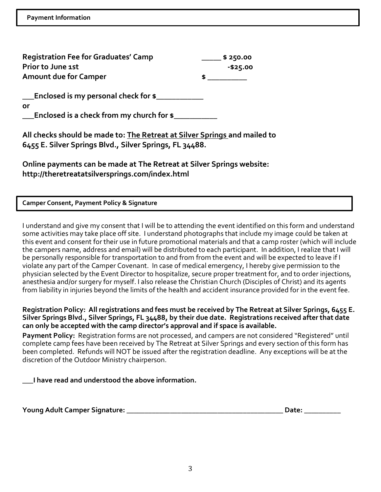| <b>Registration Fee for Graduates' Camp</b> | \$250.00 |
|---------------------------------------------|----------|
| Prior to June 1st                           | -\$25.00 |
| <b>Amount due for Camper</b>                |          |

**\_\_\_Enclosed is my personal check for \$\_\_\_\_\_\_\_\_\_\_\_\_**

**or**

**\_\_\_Enclosed is a check from my church for \$\_\_\_\_\_\_\_\_\_\_\_**

**All checks should be made to: The Retreat at Silver Springs and mailed to 6455 E. Silver Springs Blvd., Silver Springs, FL 34488.**

**Online payments can be made at The Retreat at Silver Springs website: http://theretreatatsilversprings.com/index.html**

**Camper Consent, Payment Policy & Signature**

I understand and give my consent that I will be to attending the event identified on this form and understand some activities may take place off site. I understand photographs that include my image could be taken at this event and consent for their use in future promotional materials and that a camp roster (which will include the campers name, address and email) will be distributed to each participant. In addition, I realize that I will be personally responsible for transportation to and from from the event and will be expected to leave if I violate any part of the Camper Covenant. In case of medical emergency, I hereby give permission to the physician selected by the Event Director to hospitalize, secure proper treatment for, and to order injections, anesthesia and/or surgery for myself. I also release the Christian Church (Disciples of Christ) and its agents from liability in injuries beyond the limits of the health and accident insurance provided for in the event fee.

**Registration Policy: All registrations and fees must be received by The Retreat at Silver Springs, 6455 E. Silver Springs Blvd., Silver Springs, FL 34488, by their due date. Registrations received after that date can only be accepted with the camp director's approval and if space is available.** 

**Payment Policy:** Registration forms are not processed, and campers are not considered "Registered" until complete camp fees have been received by The Retreat at Silver Springs and every section of this form has been completed. Refunds will NOT be issued after the registration deadline. Any exceptions will be at the discretion of the Outdoor Ministry chairperson.

**\_\_\_I have read and understood the above information.**

**Young Adult Camper Signature: \_\_\_\_\_\_\_\_\_\_\_\_\_\_\_\_\_\_\_\_\_\_\_\_\_\_\_\_\_\_\_\_\_\_\_\_\_\_\_\_\_\_\_ Date: \_\_\_\_\_\_\_\_\_\_**